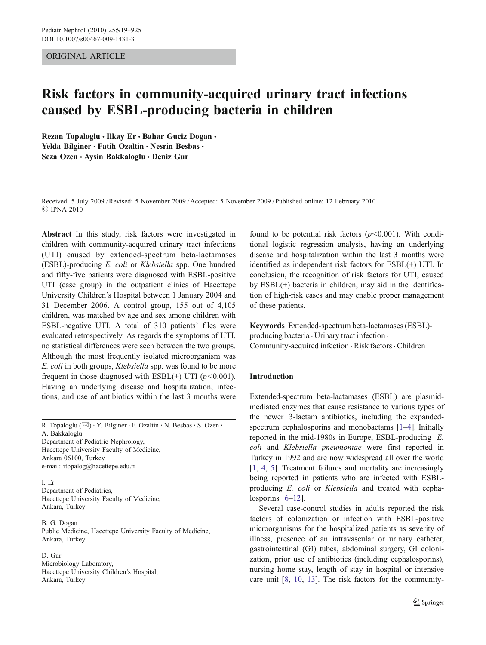## ORIGINAL ARTICLE

# Risk factors in community-acquired urinary tract infections caused by ESBL-producing bacteria in children

Rezan Topaloglu · Ilkay Er · Bahar Guciz Dogan · Yelda Bilginer · Fatih Ozaltin · Nesrin Besbas · Seza Ozen · Avsin Bakkaloglu · Deniz Gur

Received: 5 July 2009 /Revised: 5 November 2009 /Accepted: 5 November 2009 / Published online: 12 February 2010 *#* IPNA 2010

Abstract In this study, risk factors were investigated in children with community-acquired urinary tract infections (UTI) caused by extended-spectrum beta-lactamases (ESBL)-producing E. coli or Klebsiella spp. One hundred and fifty-five patients were diagnosed with ESBL-positive UTI (case group) in the outpatient clinics of Hacettepe University Children's Hospital between 1 January 2004 and 31 December 2006. A control group, 155 out of 4,105 children, was matched by age and sex among children with ESBL-negative UTI. A total of 310 patients' files were evaluated retrospectively. As regards the symptoms of UTI, no statistical differences were seen between the two groups. Although the most frequently isolated microorganism was E. coli in both groups, Klebsiella spp. was found to be more frequent in those diagnosed with ESBL(+) UTI ( $p$ <0.001). Having an underlying disease and hospitalization, infections, and use of antibiotics within the last 3 months were

R. Topaloglu ( $\boxtimes$ ) · Y. Bilginer · F. Ozaltin · N. Besbas · S. Ozen · A. Bakkaloglu

Department of Pediatric Nephrology, Hacettepe University Faculty of Medicine, Ankara 06100, Turkey e-mail: rtopalog@hacettepe.edu.tr

I. Er Department of Pediatrics, Hacettepe University Faculty of Medicine, Ankara, Turkey

B. G. Dogan Public Medicine, Hacettepe University Faculty of Medicine, Ankara, Turkey

# D. Gur

Microbiology Laboratory, Hacettepe University Children's Hospital, Ankara, Turkey

found to be potential risk factors  $(p<0.001)$ . With conditional logistic regression analysis, having an underlying disease and hospitalization within the last 3 months were identified as independent risk factors for ESBL(+) UTI. In conclusion, the recognition of risk factors for UTI, caused by ESBL(+) bacteria in children, may aid in the identification of high-risk cases and may enable proper management of these patients.

Keywords Extended-spectrum beta-lactamases (ESBL) producing bacteria . Urinary tract infection . Community-acquired infection . Risk factors. Children

#### Introduction

Extended-spectrum beta-lactamases (ESBL) are plasmidmediated enzymes that cause resistance to various types of the newer β-lactam antibiotics, including the expanded-spectrum cephalosporins and monobactams [\[1](#page-5-0)–[4](#page-5-0)]. Initially reported in the mid-1980s in Europe, ESBL-producing E. coli and Klebsiella pneumoniae were first reported in Turkey in 1992 and are now widespread all over the world [\[1](#page-5-0), [4](#page-5-0), [5\]](#page-5-0). Treatment failures and mortality are increasingly being reported in patients who are infected with ESBLproducing E. coli or Klebsiella and treated with cephalosporins  $[6-12]$  $[6-12]$  $[6-12]$  $[6-12]$ .

Several case-control studies in adults reported the risk factors of colonization or infection with ESBL-positive microorganisms for the hospitalized patients as severity of illness, presence of an intravascular or urinary catheter, gastrointestinal (GI) tubes, abdominal surgery, GI colonization, prior use of antibiotics (including cephalosporins), nursing home stay, length of stay in hospital or intensive care unit [[8,](#page-5-0) [10](#page-5-0), [13\]](#page-5-0). The risk factors for the community-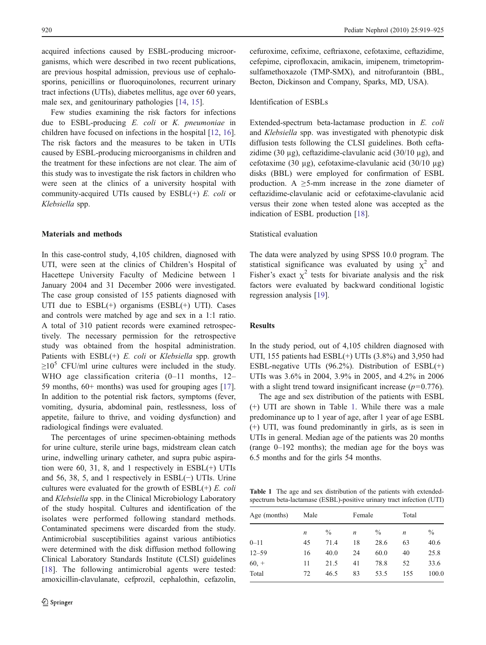acquired infections caused by ESBL-producing microorganisms, which were described in two recent publications, are previous hospital admission, previous use of cephalosporins, penicillins or fluoroquinolones, recurrent urinary tract infections (UTIs), diabetes mellitus, age over 60 years, male sex, and genitourinary pathologies [[14,](#page-5-0) [15\]](#page-5-0).

Few studies examining the risk factors for infections due to ESBL-producing E. coli or K. pneumoniae in children have focused on infections in the hospital [\[12](#page-5-0), [16](#page-5-0)]. The risk factors and the measures to be taken in UTIs caused by ESBL-producing microorganisms in children and the treatment for these infections are not clear. The aim of this study was to investigate the risk factors in children who were seen at the clinics of a university hospital with community-acquired UTIs caused by  $ESBL(+) E.$  *coli* or Klebsiella spp.

## Materials and methods

In this case-control study, 4,105 children, diagnosed with UTI, were seen at the clinics of Children's Hospital of Hacettepe University Faculty of Medicine between 1 January 2004 and 31 December 2006 were investigated. The case group consisted of 155 patients diagnosed with UTI due to  $ESBL(+)$  organisms  $(ESBL(+)$  UTI). Cases and controls were matched by age and sex in a 1:1 ratio. A total of 310 patient records were examined retrospectively. The necessary permission for the retrospective study was obtained from the hospital administration. Patients with  $ESBL(+)$  E. coli or Klebsiella spp. growth  $\geq 10^5$  CFU/ml urine cultures were included in the study. WHO age classification criteria (0-11 months, 12-59 months, 60+ months) was used for grouping ages [\[17](#page-5-0)]. In addition to the potential risk factors, symptoms (fever, vomiting, dysuria, abdominal pain, restlessness, loss of appetite, failure to thrive, and voiding dysfunction) and radiological findings were evaluated.

The percentages of urine specimen-obtaining methods for urine culture, sterile urine bags, midstream clean catch urine, indwelling urinary catheter, and supra pubic aspiration were 60, 31, 8, and 1 respectively in ESBL(+) UTIs and 56, 38, 5, and 1 respectively in ESBL(−) UTIs. Urine cultures were evaluated for the growth of  $ESBL(+) E.$  *coli* and Klebsiella spp. in the Clinical Microbiology Laboratory of the study hospital. Cultures and identification of the isolates were performed following standard methods. Contaminated specimens were discarded from the study. Antimicrobial susceptibilities against various antibiotics were determined with the disk diffusion method following Clinical Laboratory Standards Institute (CLSI) guidelines [\[18\]](#page-5-0). The following antimicrobial agents were tested: amoxicillin-clavulanate, cefprozil, cephalothin, cefazolin,

cefuroxime, cefixime, ceftriaxone, cefotaxime, ceftazidime, cefepime, ciprofloxacin, amikacin, imipenem, trimetoprimsulfamethoxazole (TMP-SMX), and nitrofurantoin (BBL, Becton, Dickinson and Company, Sparks, MD, USA).

#### Identification of ESBLs

Extended-spectrum beta-lactamase production in E. coli and Klebsiella spp. was investigated with phenotypic disk diffusion tests following the CLSI guidelines. Both ceftazidime (30  $\mu$ g), ceftazidime-clavulanic acid (30/10  $\mu$ g), and cefotaxime (30 µg), cefotaxime-clavulanic acid (30/10 µg) disks (BBL) were employed for confirmation of ESBL production. A  $\geq$ 5-mm increase in the zone diameter of ceftazidime-clavulanic acid or cefotaxime-clavulanic acid versus their zone when tested alone was accepted as the indication of ESBL production [\[18](#page-5-0)].

## Statistical evaluation

The data were analyzed by using SPSS 10.0 program. The statistical significance was evaluated by using  $\chi^2$  and Fisher's exact  $\chi^2$  tests for bivariate analysis and the risk factors were evaluated by backward conditional logistic regression analysis [\[19](#page-5-0)].

# Results

In the study period, out of 4,105 children diagnosed with UTI, 155 patients had ESBL(+) UTIs (3.8%) and 3,950 had ESBL-negative UTIs (96.2%). Distribution of ESBL(+) UTIs was 3.6% in 2004, 3.9% in 2005, and 4.2% in 2006 with a slight trend toward insignificant increase  $(p=0.776)$ .

The age and sex distribution of the patients with ESBL (+) UTI are shown in Table 1. While there was a male predominance up to 1 year of age, after 1 year of age ESBL (+) UTI, was found predominantly in girls, as is seen in UTIs in general. Median age of the patients was 20 months (range 0–192 months); the median age for the boys was 6.5 months and for the girls 54 months.

Table 1 The age and sex distribution of the patients with extendedspectrum beta-lactamase (ESBL)-positive urinary tract infection (UTI)

| Age (months) | Male             |               | Female           |      | Total            |               |
|--------------|------------------|---------------|------------------|------|------------------|---------------|
|              | $\boldsymbol{n}$ | $\frac{0}{0}$ | $\boldsymbol{n}$ | $\%$ | $\boldsymbol{n}$ | $\frac{0}{0}$ |
| $0 - 11$     | 45               | 71.4          | 18               | 28.6 | 63               | 40.6          |
| $12 - 59$    | 16               | 40.0          | 24               | 60.0 | 40               | 25.8          |
| $60, +$      | 11               | 21.5          | 41               | 78.8 | 52               | 33.6          |
| Total        | 72               | 46.5          | 83               | 53.5 | 155              | 100.0         |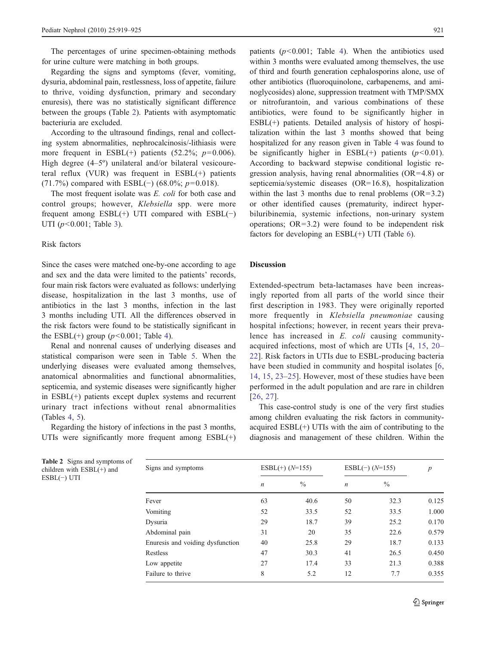The percentages of urine specimen-obtaining methods for urine culture were matching in both groups.

Regarding the signs and symptoms (fever, vomiting, dysuria, abdominal pain, restlessness, loss of appetite, failure to thrive, voiding dysfunction, primary and secondary enuresis), there was no statistically significant difference between the groups (Table 2). Patients with asymptomatic bacteriuria are excluded.

According to the ultrasound findings, renal and collecting system abnormalities, nephrocalcinosis/-lithiasis were more frequent in ESBL $(+)$  patients (52.2%;  $p=0.006$ ). High degree (4–5°) unilateral and/or bilateral vesicoureteral reflux (VUR) was frequent in ESBL(+) patients (71.7%) compared with ESBL(−) (68.0%;  $p=0.018$ ).

The most frequent isolate was E. coli for both case and control groups; however, Klebsiella spp. were more frequent among  $ESBL(+)$  UTI compared with  $ESBL(−)$ UTI  $(p<0.001$ ; Table [3\)](#page-3-0).

#### Risk factors

Since the cases were matched one-by-one according to age and sex and the data were limited to the patients' records, four main risk factors were evaluated as follows: underlying disease, hospitalization in the last 3 months, use of antibiotics in the last 3 months, infection in the last 3 months including UTI. All the differences observed in the risk factors were found to be statistically significant in the ESBL(+) group ( $p$ <0.001; Table [4](#page-3-0)).

Renal and nonrenal causes of underlying diseases and statistical comparison were seen in Table [5.](#page-4-0) When the underlying diseases were evaluated among themselves, anatomical abnormalities and functional abnormalities, septicemia, and systemic diseases were significantly higher in ESBL(+) patients except duplex systems and recurrent urinary tract infections without renal abnormalities (Tables [4](#page-3-0), [5\)](#page-4-0).

Regarding the history of infections in the past 3 months, UTIs were significantly more frequent among  $ESBL(+)$ 

patients  $(p<0.001$ ; Table [4](#page-3-0)). When the antibiotics used within 3 months were evaluated among themselves, the use of third and fourth generation cephalosporins alone, use of other antibiotics (fluoroquinolone, carbapenems, and aminoglycosides) alone, suppression treatment with TMP/SMX or nitrofurantoin, and various combinations of these antibiotics, were found to be significantly higher in ESBL(+) patients. Detailed analysis of history of hospitalization within the last 3 months showed that being hospitalized for any reason given in Table [4](#page-3-0) was found to be significantly higher in  $ESBL(+)$  patients ( $p<0.01$ ). According to backward stepwise conditional logistic regression analysis, having renal abnormalities (OR=4.8) or septicemia/systemic diseases (OR=16.8), hospitalization within the last 3 months due to renal problems  $(OR=3.2)$ or other identified causes (prematurity, indirect hyperbiluribinemia, systemic infections, non-urinary system operations;  $OR=3.2$ ) were found to be independent risk factors for developing an ESBL(+) UTI (Table [6\)](#page-4-0).

## Discussion

Extended-spectrum beta-lactamases have been increasingly reported from all parts of the world since their first description in 1983. They were originally reported more frequently in Klebsiella pneumoniae causing hospital infections; however, in recent years their prevalence has increased in E. coli causing communityacquired infections, most of which are UTIs [[4,](#page-5-0) [15,](#page-5-0) [20](#page-5-0)– [22](#page-6-0)]. Risk factors in UTIs due to ESBL-producing bacteria have been studied in community and hospital isolates [[6,](#page-5-0) [14](#page-5-0), [15](#page-5-0), [23](#page-6-0)–[25](#page-6-0)]. However, most of these studies have been performed in the adult population and are rare in children [\[26,](#page-6-0) [27](#page-6-0)].

This case-control study is one of the very first studies among children evaluating the risk factors in communityacquired ESBL(+) UTIs with the aim of contributing to the diagnosis and management of these children. Within the

| Signs and symptoms               | $ESBL(+)$ ( $N=155$ ) |               | $ESBL(-) (N=155)$ |               | $\overline{p}$ |
|----------------------------------|-----------------------|---------------|-------------------|---------------|----------------|
|                                  | $\boldsymbol{n}$      | $\frac{0}{0}$ | $\boldsymbol{n}$  | $\frac{0}{0}$ |                |
| Fever                            | 63                    | 40.6          | 50                | 32.3          | 0.125          |
| Vomiting                         | 52                    | 33.5          | 52                | 33.5          | 1.000          |
| Dysuria                          | 29                    | 18.7          | 39                | 25.2          | 0.170          |
| Abdominal pain                   | 31                    | 20            | 35                | 22.6          | 0.579          |
| Enuresis and voiding dysfunction | 40                    | 25.8          | 29                | 18.7          | 0.133          |
| Restless                         | 47                    | 30.3          | 41                | 26.5          | 0.450          |
| Low appetite                     | 27                    | 17.4          | 33                | 21.3          | 0.388          |
| Failure to thrive                | 8                     | 5.2           | 12                | 7.7           | 0.355          |

Table 2 Signs and symptoms of children with ESBL(+) and ESBL(−) UTI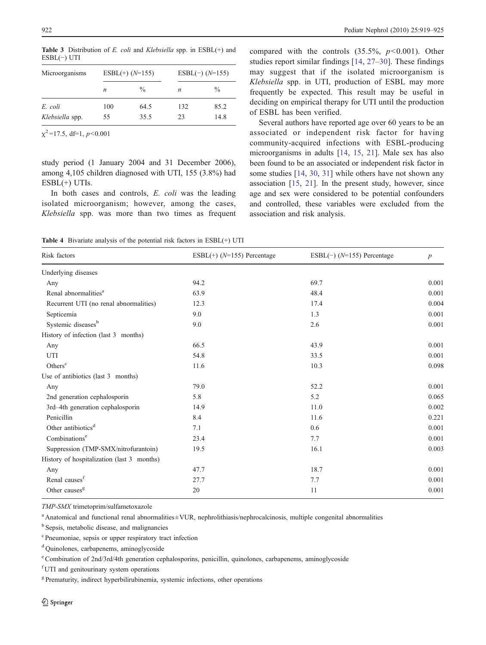| Microorganisms  | $ESBL(+)$ ( $N=155$ ) |               | $ESBL(-)$ ( $N=155$ ) |               |
|-----------------|-----------------------|---------------|-----------------------|---------------|
|                 | $\boldsymbol{n}$      | $\frac{0}{0}$ | $\boldsymbol{n}$      | $\frac{0}{0}$ |
| E. coli         | 100                   | 64.5          | 132                   | 85.2          |
| Klebsiella spp. | 55                    | 35.5          | 23                    | 14.8          |

<span id="page-3-0"></span>Table 3 Distribution of E. coli and Klebsiella spp. in  $ESBL(+)$  and ESBL(−) UTI

 $\chi^2$ =17.5, df=1, p<0.001

study period (1 January 2004 and 31 December 2006), among 4,105 children diagnosed with UTI, 155 (3.8%) had  $ESBL(+)$  UTIs.

In both cases and controls, E. coli was the leading isolated microorganism; however, among the cases, Klebsiella spp. was more than two times as frequent compared with the controls  $(35.5\%), p<0.001$ . Other studies report similar findings [\[14](#page-5-0), [27](#page-6-0)–[30](#page-6-0)]. These findings may suggest that if the isolated microorganism is Klebsiella spp. in UTI, production of ESBL may more frequently be expected. This result may be useful in deciding on empirical therapy for UTI until the production of ESBL has been verified.

Several authors have reported age over 60 years to be an associated or independent risk factor for having community-acquired infections with ESBL-producing microorganisms in adults [\[14](#page-5-0), [15,](#page-5-0) [21\]](#page-6-0). Male sex has also been found to be an associated or independent risk factor in some studies [[14,](#page-5-0) [30](#page-6-0), [31\]](#page-6-0) while others have not shown any association [[15](#page-5-0), [21](#page-6-0)]. In the present study, however, since age and sex were considered to be potential confounders and controlled, these variables were excluded from the association and risk analysis.

Table 4 Bivariate analysis of the potential risk factors in ESBL(+) UTI

| Risk factors                               | ESBL $(+)$ ( $N=155$ ) Percentage | ESBL $(-)$ ( $N=155$ ) Percentage | $\boldsymbol{p}$ |  |
|--------------------------------------------|-----------------------------------|-----------------------------------|------------------|--|
| Underlying diseases                        |                                   |                                   |                  |  |
| Any                                        | 94.2                              | 69.7                              | 0.001            |  |
| Renal abnormalities <sup>a</sup>           | 63.9                              | 48.4                              | 0.001            |  |
| Recurrent UTI (no renal abnormalities)     | 12.3                              | 17.4                              | 0.004            |  |
| Septicemia                                 | 9.0                               | 1.3                               | 0.001            |  |
| Systemic diseases <sup>b</sup>             | 9.0                               | 2.6                               | 0.001            |  |
| History of infection (last 3 months)       |                                   |                                   |                  |  |
| Any                                        | 66.5                              | 43.9                              | 0.001            |  |
| UTI                                        | 54.8                              | 33.5                              | 0.001            |  |
| Others <sup>c</sup>                        | 11.6                              | 10.3                              | 0.098            |  |
| Use of antibiotics (last 3 months)         |                                   |                                   |                  |  |
| Any                                        | 79.0                              | 52.2                              | 0.001            |  |
| 2nd generation cephalosporin               | 5.8                               | 5.2                               | 0.065            |  |
| 3rd-4th generation cephalosporin           | 14.9                              | 11.0                              | 0.002            |  |
| Penicillin                                 | 8.4                               | 11.6                              | 0.221            |  |
| Other antibiotics <sup>d</sup>             | 7.1                               | 0.6                               | 0.001            |  |
| Combinations <sup>e</sup>                  | 23.4                              | 7.7                               | 0.001            |  |
| Suppression (TMP-SMX/nitrofurantoin)       | 19.5                              | 16.1                              | 0.003            |  |
| History of hospitalization (last 3 months) |                                   |                                   |                  |  |
| Any                                        | 47.7                              | 18.7                              | 0.001            |  |
| Renal causes <sup>f</sup>                  | 27.7                              | 7.7                               | 0.001            |  |
| Other causes <sup>g</sup>                  | 20                                | 11                                | 0.001            |  |
|                                            |                                   |                                   |                  |  |

TMP-SMX trimetoprim/sulfametoxazole

<sup>a</sup> Anatomical and functional renal abnormalities±VUR, nephrolithiasis/nephrocalcinosis, multiple congenital abnormalities

<sup>b</sup> Sepsis, metabolic disease, and malignancies

<sup>c</sup> Pneumoniae, sepsis or upper respiratory tract infection

<sup>d</sup> Quinolones, carbapenems, aminoglycoside

<sup>e</sup> Combination of 2nd/3rd/4th generation cephalosporins, penicillin, quinolones, carbapenems, aminoglycoside

f UTI and genitourinary system operations

<sup>g</sup> Prematurity, indirect hyperbilirubinemia, systemic infections, other operations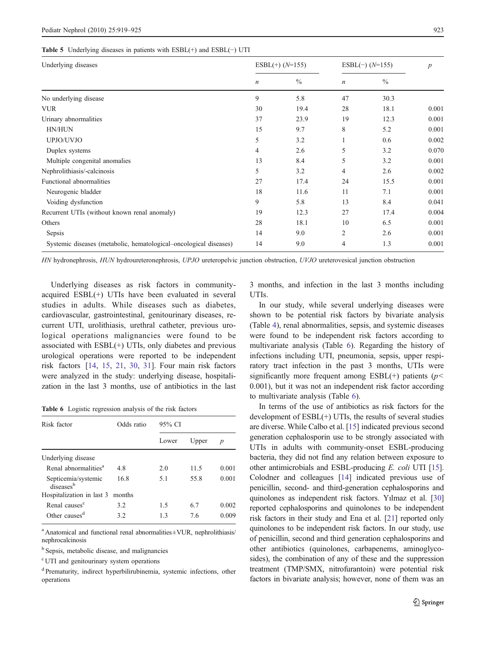#### <span id="page-4-0"></span>Table 5 Underlying diseases in patients with ESBL(+) and ESBL(−) UTI

| Underlying diseases                                               | $ESBL(+)$ ( $N=155$ ) |               | $ESBL(-) (N=155)$ |               | $\boldsymbol{p}$ |
|-------------------------------------------------------------------|-----------------------|---------------|-------------------|---------------|------------------|
|                                                                   | $\boldsymbol{n}$      | $\frac{0}{0}$ | $\boldsymbol{n}$  | $\frac{0}{0}$ |                  |
| No underlying disease                                             | 9                     | 5.8           | 47                | 30.3          |                  |
| <b>VUR</b>                                                        | 30                    | 19.4          | 28                | 18.1          | 0.001            |
| Urinary abnormalities                                             | 37                    | 23.9          | 19                | 12.3          | 0.001            |
| HN/HUN                                                            | 15                    | 9.7           | 8                 | 5.2           | 0.001            |
| UPJO/UVJO                                                         | 5                     | 3.2           |                   | 0.6           | 0.002            |
| Duplex systems                                                    | 4                     | 2.6           | 5                 | 3.2           | 0.070            |
| Multiple congenital anomalies                                     | 13                    | 8.4           | 5                 | 3.2           | 0.001            |
| Nephrolithiasis/-calcinosis                                       | 5                     | 3.2           | 4                 | 2.6           | 0.002            |
| Functional abnormalities                                          | 27                    | 17.4          | 24                | 15.5          | 0.001            |
| Neurogenic bladder                                                | 18                    | 11.6          | 11                | 7.1           | 0.001            |
| Voiding dysfunction                                               | 9                     | 5.8           | 13                | 8.4           | 0.041            |
| Recurrent UTIs (without known renal anomaly)                      | 19                    | 12.3          | 27                | 17.4          | 0.004            |
| Others                                                            | 28                    | 18.1          | 10                | 6.5           | 0.001            |
| Sepsis                                                            | 14                    | 9.0           | 2                 | 2.6           | 0.001            |
| Systemic diseases (metabolic, hematological-oncological diseases) | 14                    | 9.0           | 4                 | 1.3           | 0.001            |

HN hydronephrosis, HUN hydroureteronephrosis, UPJO ureteropelvic junction obstruction, UVJO ureterovesical junction obstruction

Underlying diseases as risk factors in communityacquired ESBL(+) UTIs have been evaluated in several studies in adults. While diseases such as diabetes, cardiovascular, gastrointestinal, genitourinary diseases, recurrent UTI, urolithiasis, urethral catheter, previous urological operations malignancies were found to be associated with  $ESBL(+)$  UTIs, only diabetes and previous urological operations were reported to be independent risk factors [[14,](#page-5-0) [15,](#page-5-0) [21,](#page-6-0) [30,](#page-6-0) [31\]](#page-6-0). Four main risk factors were analyzed in the study: underlying disease, hospitalization in the last 3 months, use of antibiotics in the last

Table 6 Logistic regression analysis of the risk factors

| Risk factor                      | Odds ratio | 95% CI |       |                  |  |  |
|----------------------------------|------------|--------|-------|------------------|--|--|
|                                  |            | Lower  | Upper | $\boldsymbol{p}$ |  |  |
| Underlying disease               |            |        |       |                  |  |  |
| Renal abnormalities <sup>a</sup> | 4.8        | 2.0    | 11.5  | 0.001            |  |  |
| Septicemia/systemic<br>diseasesb | 16.8       | 5.1    | 55.8  | 0.001            |  |  |
| Hospitalization in last 3        | months     |        |       |                  |  |  |
| Renal causes <sup>c</sup>        | 3.2        | 1.5    | 6.7   | 0.002            |  |  |
| Other causes <sup>d</sup>        | 32         | 13     | 76    | 0.009            |  |  |

<sup>a</sup> Anatomical and functional renal abnormalities±VUR, nephrolithiasis/ nephrocalcinosis

<sup>b</sup> Sepsis, metabolic disease, and malignancies

<sup>c</sup> UTI and genitourinary system operations

<sup>d</sup> Prematurity, indirect hyperbilirubinemia, systemic infections, other operations

3 months, and infection in the last 3 months including UTIs.

In our study, while several underlying diseases were shown to be potential risk factors by bivariate analysis (Table [4\)](#page-3-0), renal abnormalities, sepsis, and systemic diseases were found to be independent risk factors according to multivariate analysis (Table 6). Regarding the history of infections including UTI, pneumonia, sepsis, upper respiratory tract infection in the past 3 months, UTIs were significantly more frequent among  $ESBL(+)$  patients ( $p$ < 0.001), but it was not an independent risk factor according to multivariate analysis (Table 6).

In terms of the use of antibiotics as risk factors for the development of ESBL(+) UTIs, the results of several studies are diverse. While Calbo et al. [\[15](#page-5-0)] indicated previous second generation cephalosporin use to be strongly associated with UTIs in adults with community-onset ESBL-producing bacteria, they did not find any relation between exposure to other antimicrobials and ESBL-producing E. coli UTI [[15\]](#page-5-0). Colodner and colleagues [\[14\]](#page-5-0) indicated previous use of penicillin, second- and third-generation cephalosporins and quinolones as independent risk factors. Yılmaz et al. [\[30](#page-6-0)] reported cephalosporins and quinolones to be independent risk factors in their study and Ena et al. [\[21](#page-6-0)] reported only quinolones to be independent risk factors. In our study, use of penicillin, second and third generation cephalosporins and other antibiotics (quinolones, carbapenems, aminoglycosides), the combination of any of these and the suppression treatment (TMP/SMX, nitrofurantoin) were potential risk factors in bivariate analysis; however, none of them was an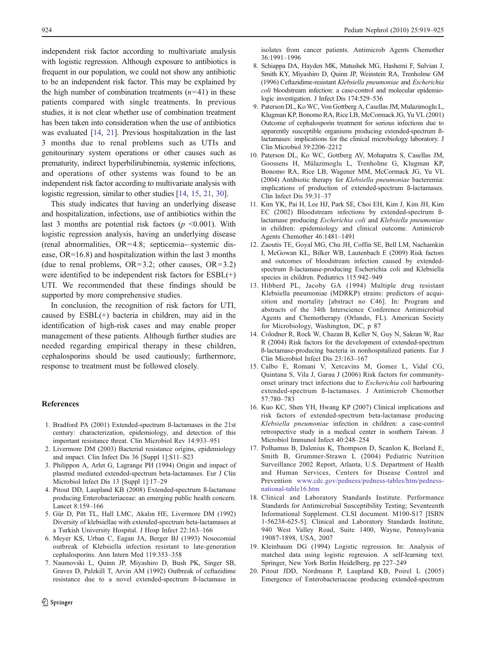<span id="page-5-0"></span>independent risk factor according to multivariate analysis with logistic regression. Although exposure to antibiotics is frequent in our population, we could not show any antibiotic to be an independent risk factor. This may be explained by the high number of combination treatments  $(n=41)$  in these patients compared with single treatments. In previous studies, it is not clear whether use of combination treatment has been taken into consideration when the use of antibiotics was evaluated [14, [21](#page-6-0)]. Previous hospitalization in the last 3 months due to renal problems such as UTIs and genitourinary system operations or other causes such as prematurity, indirect hyperbilirubinemia, systemic infections, and operations of other systems was found to be an independent risk factor according to multivariate analysis with logistic regression, similar to other studies [14, 15, [21](#page-6-0), [30\]](#page-6-0).

This study indicates that having an underlying disease and hospitalization, infections, use of antibiotics within the last 3 months are potential risk factors ( $p \le 0.001$ ). With logistic regression analysis, having an underlying disease (renal abnormalities, OR=4.8; septicemia-–systemic disease, OR=16.8) and hospitalization within the last 3 months (due to renal problems,  $OR=3.2$ ; other causes,  $OR=3.2$ ) were identified to be independent risk factors for ESBL(+) UTI. We recommended that these findings should be supported by more comprehensive studies.

In conclusion, the recognition of risk factors for UTI, caused by ESBL(+) bacteria in children, may aid in the identification of high-risk cases and may enable proper management of these patients. Although further studies are needed regarding empirical therapy in these children, cephalosporins should be used cautiously; furthermore, response to treatment must be followed closely.

#### **References**

- 1. Bradford PA (2001) Extended-spectrum ß-lactamases in the 21st century: characterization, epidemiology, and detection of this important resistance threat. Clin Microbiol Rev 14:933–951
- 2. Livermore DM (2003) Bacterial resistance origins, epidemiology and impact. Clin Infect Dis 36 [Suppl 1]:S11–S23
- 3. Philippon A, Arlet G, Lagrange PH (1994) Origin and impact of plasmid mediated extended-spectrum beta-lactamases. Eur J Clin Microbiol Infect Dis 13 [Suppl 1]:17–29
- 4. Pitout DD, Laupland KB (2008) Extended-spectrum ß-lactamase producing Enterobacteriaceae: an emerging public health concern. Lancet 8:159–166
- 5. Gür D, Pitt TL, Hall LMC, Akalın HE, Livermore DM (1992) Diversity of klebsiellae with extended-spectrum beta-lactamases at a Turkish University Hospital. J Hosp Infect 22:163–166
- 6. Meyer KS, Urban C, Eagan JA, Berger BJ (1993) Nosocomial outbreak of Klebsiella infection resistant to late-generation cephalosporins. Ann Intern Med 119:353–358
- 7. Naumovski L, Quinn JP, Miyashiro D, Bush PK, Singer SB, Graves D, Palzkill T, Arvin AM (1992) Outbreak of ceftazidime resistance due to a novel extended-spectrum ß-lactamase in

isolates from cancer patients. Antimicrob Agents Chemother 36:1991–1996

- 8. Schiappa DA, Hayden MK, Matushek MG, Hashemi F, Sulvian J, Smith KY, Miyashiro D, Quinn JP, Weinstein RA, Trenholme GM (1996) Ceftazidime-resistant Klebsiella pneumoniae and Escherichia coli bloodstream infection: a case-control and molecular epidemiologic investigation. J Infect Dis 174:529–536
- 9. Paterson DL, Ko WC, Von Gottberg A, Casellas JM, Mulazimoglu L, Klugman KP, Bonomo RA, Rice LB, McCormack JG, Yu VL (2001) Outcome of cephalosporin treatment for serious infections due to apparently susceptible organisms producing extended-spectrum ßlactamases: implications for the clinical microbiology laboratory. J Clin Microbiol 39:2206–2212
- 10. Paterson DL, Ko WC, Gottberg AV, Mohapatra S, Casellas JM, Goossens H, Mülazimoglu L, Trenholme G, Klugman KP, Bonomo RA, Rice LB, Wagener MM, McCormack JG, Yu VL (2004) Antibiotic therapy for Klebsiella pneumoniae bacteremia: implications of production of extended-spectrum ß-lactamases. Clin Infect Dis 39:31–37
- 11. Kim YK, Pai H, Lee HJ, Park SE, Choi EH, Kim J, Kim JH, Kim EC (2002) Bloodstream infections by extended-spectrum ßlactamase producing Escherichia coli and Klebsiella pneumoniae in children: epidemiology and clinical outcome. Antimicrob Agents Chemother 46:1481–1491
- 12. Zaoutis TE, Goyal MG, Chu JH, Coffin SE, Bell LM, Nachamkin I, McGowan KL, Bilker WB, Lautenbach E (2009) Risk factors and outcomes of bloodstream infection caused by extendedspectrum ß-lactamase-producing Escherichia coli and Klebsiella species in children. Pediatrics 115:942–949
- 13. Hibberd PL, Jacoby GA (1994) Multiple drug resistant Klebsiella pneumoniae (MDRKP) strains: predictors of acquisition and mortality [abstract no C46]. In: Program and abstracts of the 34th Interscience Conference Antimicrobial Agents and Chemotherapy (Orlando, FL). American Society for Microbiology, Washington, DC, p 87
- 14. Colodner R, Rock W, Chazan B, Keller N, Guy N, Sakran W, Raz R (2004) Risk factors for the development of extended-spectrum ß-lactamase-producing bacteria in nonhospitalized patients. Eur J Clin Microbiol Infect Dis 23:163–167
- 15. Calbo E, Romani V, Xercavins M, Gomez L, Vidal CG, Quintana S, Vila J, Garau J (2006) Risk factors for communityonset urinary tract infections due to Escherichia coli harbouring extended-spectrum ß-lactamases. J Antimicrob Chemother 57:780–783
- 16. Kuo KC, Shen YH, Hwang KP (2007) Clinical implications and risk factors of extended-spectrum beta-lactamase producing Klebsiella pneumoniae infection in children: a case-control retrospective study in a medical center in southern Taiwan. J Microbiol Immunol Infect 40:248–254
- 17. Polhamus B, Dalenius K, Thompson D, Scanlon K, Borland E, Smith B, Grummer-Strawn L (2004) Pediatric Nutrition Surveillance 2002 Report, Atlanta, U.S. Department of Health and Human Services, Centers for Disease Control and Prevention [www.cdc.gov/pedness/pedness-tables/htm/pedness](http://www.cdc.gov/pedness/pedness-tables/htm/pedness-national-table16.htm)[national-table16.htm](http://www.cdc.gov/pedness/pedness-tables/htm/pedness-national-table16.htm)
- 18. Clinical and Laboratory Standards Institute. Performance Standards for Antimicrobial Susceptibility Testing; Seventeenth Informational Supplement. CLSI document. M100-S17 [ISBN 1-56238-625-5]. Clinical and Laboratory Standards Institute, 940 West Valley Road, Suite 1400, Wayne, Pennsylvania 19087-1898, USA, 2007
- 19. Kleinbaum DG (1994) Logistic regression. In: Analysis of matched data using logistic regression. A self-learning text. Springer, New York Berlin Heidelberg, pp 227–249
- 20. Pitout JDD, Nordmann P, Laupland KB, Poirel L (2005) Emergence of Enterobacteriaceae producing extended-spectrum